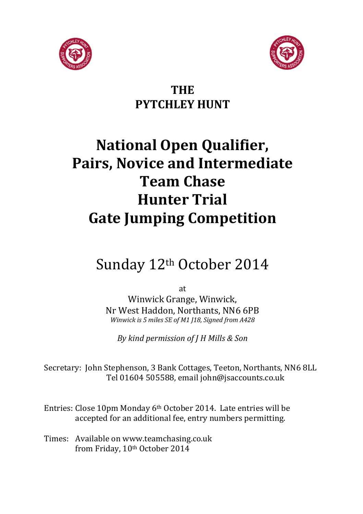



### **THE PYTCHLEY HUNT**

# **National Open Qualifier, Pairs, Novice and Intermediate Team Chase Hunter Trial Gate Jumping Competition**

## Sunday 12th October 2014

at

Winwick Grange, Winwick, Nr West Haddon, Northants, NN6 6PB *Winwick is 5 miles SE of M1 J18, Signed from A428*

*By kind permission of J H Mills & Son* 

Secretary: John Stephenson, 3 Bank Cottages, Teeton, Northants, NN6 8LL Tel 01604 505588, email john@jsaccounts.co.uk

Entries: Close 10pm Monday 6th October 2014. Late entries will be accepted for an additional fee, entry numbers permitting.

Times: Available on www.teamchasing.co.uk from Friday, 10th October 2014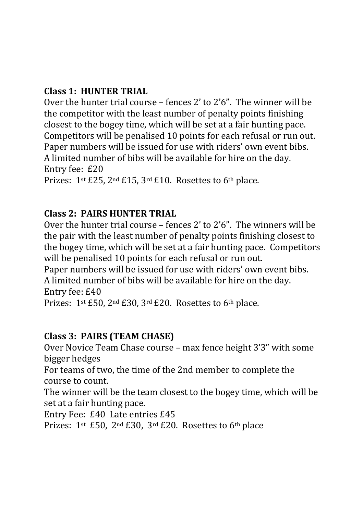#### **Class 1: HUNTER TRIAL**

Over the hunter trial course – fences 2' to 2'6". The winner will be the competitor with the least number of penalty points finishing closest to the bogey time, which will be set at a fair hunting pace. Competitors will be penalised 10 points for each refusal or run out. Paper numbers will be issued for use with riders' own event bibs. A limited number of bibs will be available for hire on the day. Entry fee: £20 Prizes: 1st £25, 2nd £15, 3rd £10. Rosettes to 6th place.

#### **Class 2: PAIRS HUNTER TRIAL**

Over the hunter trial course – fences 2' to 2'6". The winners will be the pair with the least number of penalty points finishing closest to the bogey time, which will be set at a fair hunting pace. Competitors will be penalised 10 points for each refusal or run out.

Paper numbers will be issued for use with riders' own event bibs. A limited number of bibs will be available for hire on the day. Entry fee: £40

Prizes: 1<sup>st</sup> £50, 2<sup>nd</sup> £30, 3<sup>rd</sup> £20. Rosettes to 6<sup>th</sup> place.

#### **Class 3: PAIRS (TEAM CHASE)**

Over Novice Team Chase course – max fence height 3'3" with some bigger hedges

For teams of two, the time of the 2nd member to complete the course to count.

The winner will be the team closest to the bogey time, which will be set at a fair hunting pace.

Entry Fee: £40 Late entries £45

Prizes: 1<sup>st</sup> £50, 2<sup>nd</sup> £30, 3<sup>rd</sup> £20. Rosettes to 6<sup>th</sup> place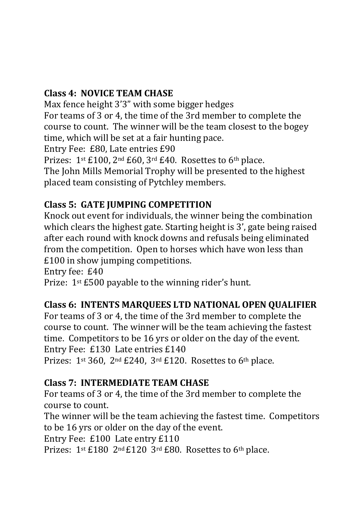#### **Class 4: NOVICE TEAM CHASE**

Max fence height 3'3" with some bigger hedges For teams of 3 or 4, the time of the 3rd member to complete the course to count. The winner will be the team closest to the bogey time, which will be set at a fair hunting pace. Entry Fee: £80, Late entries £90 Prizes: 1st £100, 2nd £60, 3rd £40. Rosettes to 6th place.

The John Mills Memorial Trophy will be presented to the highest placed team consisting of Pytchley members.

#### **Class 5: GATE JUMPING COMPETITION**

Knock out event for individuals, the winner being the combination which clears the highest gate. Starting height is 3', gate being raised after each round with knock downs and refusals being eliminated from the competition. Open to horses which have won less than £100 in show jumping competitions.

Entry fee: £40

Prize: 1<sup>st</sup> £500 payable to the winning rider's hunt.

#### **Class 6: INTENTS MARQUEES LTD NATIONAL OPEN QUALIFIER**

For teams of 3 or 4, the time of the 3rd member to complete the course to count. The winner will be the team achieving the fastest time. Competitors to be 16 yrs or older on the day of the event. Entry Fee: £130 Late entries £140 Prizes:  $1^{st}$  360,  $2^{nd}$  £240,  $3^{rd}$  £120. Rosettes to 6<sup>th</sup> place.

#### **Class 7: INTERMEDIATE TEAM CHASE**

For teams of 3 or 4, the time of the 3rd member to complete the course to count.

The winner will be the team achieving the fastest time. Competitors to be 16 yrs or older on the day of the event.

Entry Fee: £100 Late entry £110

Prizes: 1st £180 2nd £120 3rd £80. Rosettes to 6th place.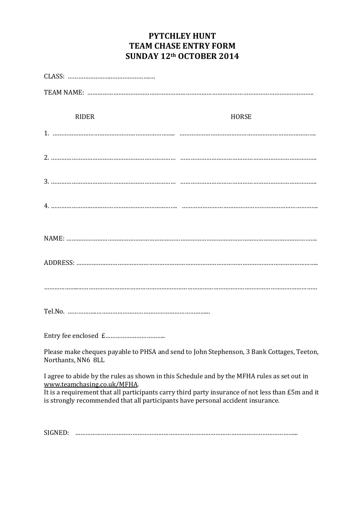#### **PYTCHLEY HUNT TEAM CHASE ENTRY FORM SUNDAY 12th OCTOBER 2014**

| RIDER<br>HORSE                                                                                                                                                                                                                                                                                                     |
|--------------------------------------------------------------------------------------------------------------------------------------------------------------------------------------------------------------------------------------------------------------------------------------------------------------------|
|                                                                                                                                                                                                                                                                                                                    |
|                                                                                                                                                                                                                                                                                                                    |
|                                                                                                                                                                                                                                                                                                                    |
|                                                                                                                                                                                                                                                                                                                    |
|                                                                                                                                                                                                                                                                                                                    |
|                                                                                                                                                                                                                                                                                                                    |
|                                                                                                                                                                                                                                                                                                                    |
|                                                                                                                                                                                                                                                                                                                    |
|                                                                                                                                                                                                                                                                                                                    |
| Please make cheques payable to PHSA and send to John Stephenson, 3 Bank Cottages, Teeton,<br>Northants, NN6 8LL                                                                                                                                                                                                    |
| I agree to abide by the rules as shown in this Schedule and by the MFHA rules as set out in<br>www.teamchasing.co.uk/MFHA.<br>It is a requirement that all participants carry third party insurance of not less than £5m and it<br>is strongly recommended that all participants have personal accident insurance. |

SIGNED: ………………………………………………………………………………………………………………...